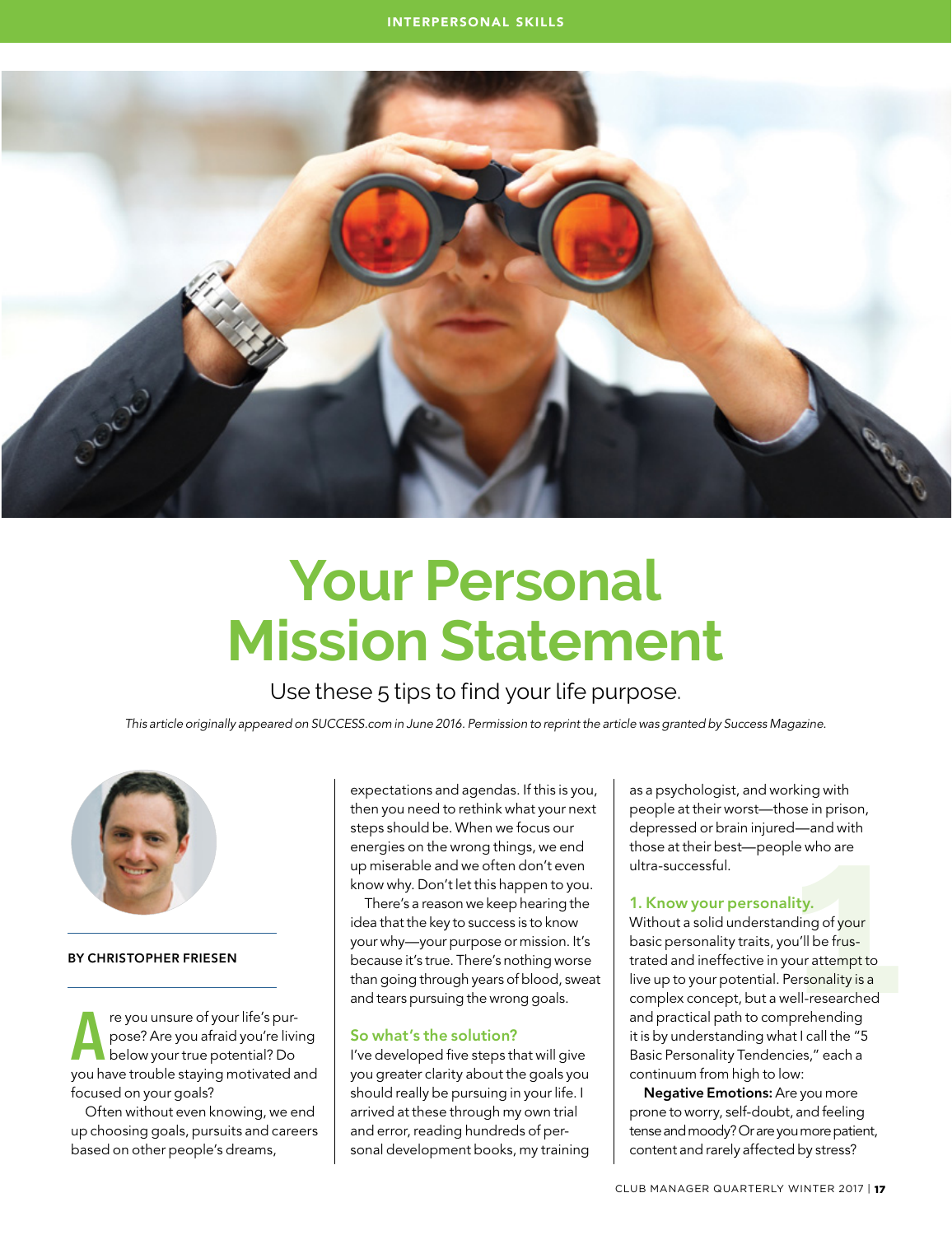

# **Your Personal Mission Statement**

Use these 5 tips to find your life purpose.

*This article originally appeared on SUCCESS.com in June 2016. Permission to reprint the article was granted by Success Magazine.*



### By Christopher Friesen

**A** re you unsure of your life's pur-<br>pose? Are you afraid you're living<br>below your true potential? Do<br>you have trouble staying motivated and pose? Are you afraid you're living below your true potential? Do focused on your goals?

Often without even knowing, we end up choosing goals, pursuits and careers based on other people's dreams,

expectations and agendas. If this is you, then you need to rethink what your next steps should be. When we focus our energies on the wrong things, we end up miserable and we often don't even know why. Don't let this happen to you.

There's a reason we keep hearing the idea that the key to success is to know your why—your purpose or mission. It's because it's true. There's nothing worse than going through years of blood, sweat and tears pursuing the wrong goals.

#### So what's the solution?

I've developed five steps that will give you greater clarity about the goals you should really be pursuing in your life. I arrived at these through my own trial and error, reading hundreds of personal development books, my training

as a psychologist, and working with people at their worst—those in prison, depressed or brain injured—and with those at their best—people who are ultra-successful.

#### 1. Know your personality.

be in phoen,<br>
I —and with<br>
e who are<br> **ity.**<br>
ding of your<br>
u'll be frus-<br>
personality is a<br>
personality is a<br>
personality is a<br>
prehending<br>  $H_{\text{cell}}$  the "5 Without a solid understanding of your basic personality traits, you'll be frustrated and ineffective in your attempt to live up to your potential. Personality is a complex concept, but a well-researched and practical path to comprehending it is by understanding what I call the "5 Basic Personality Tendencies," each a continuum from high to low:

Negative Emotions: Are you more prone to worry, self-doubt, and feeling tense and moody? Or are you more patient, content and rarely affected by stress?